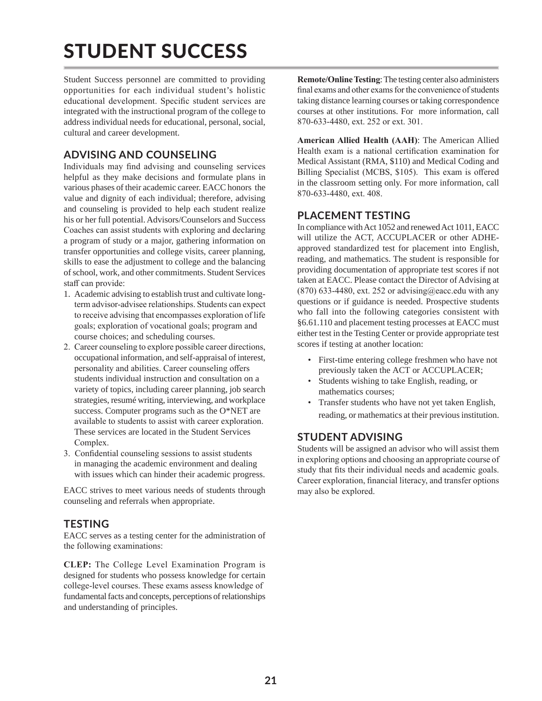# STUDENT SUCCESS

Student Success personnel are committed to providing opportunities for each individual student's holistic educational development. Specific student services are integrated with the instructional program of the college to address individual needs for educational, personal, social, cultural and career development.

#### **ADVISING AND COUNSELING**

Individuals may find advising and counseling services helpful as they make decisions and formulate plans in various phases of their academic career. EACC honors the value and dignity of each individual; therefore, advising and counseling is provided to help each student realize his or her full potential. Advisors/Counselors and Success Coaches can assist students with exploring and declaring a program of study or a major, gathering information on transfer opportunities and college visits, career planning, skills to ease the adjustment to college and the balancing of school, work, and other commitments. Student Services staff can provide:

- 1. Academic advising to establish trust and cultivate longterm advisor-advisee relationships. Students can expect to receive advising that encompasses exploration of life goals; exploration of vocational goals; program and course choices; and scheduling courses.
- 2. Career counseling to explore possible career directions, occupational information, and self-appraisal of interest, personality and abilities. Career counseling offers students individual instruction and consultation on a variety of topics, including career planning, job search strategies, resumé writing, interviewing, and workplace success. Computer programs such as the O\*NET are available to students to assist with career exploration. These services are located in the Student Services Complex.
- 3. Confidential counseling sessions to assist students in managing the academic environment and dealing with issues which can hinder their academic progress.

EACC strives to meet various needs of students through counseling and referrals when appropriate.

#### **TESTING**

EACC serves as a testing center for the administration of the following examinations:

**CLEP:** The College Level Examination Program is designed for students who possess knowledge for certain college-level courses. These exams assess knowledge of fundamental facts and concepts, perceptions of relationships and understanding of principles.

**Remote/Online Testing**: The testing center also administers final exams and other exams for the convenience of students taking distance learning courses or taking correspondence courses at other institutions. For more information, call 870-633-4480, ext. 252 or ext. 301.

**American Allied Health (AAH)**: The American Allied Health exam is a national certification examination for Medical Assistant (RMA, \$110) and Medical Coding and Billing Specialist (MCBS, \$105). This exam is offered in the classroom setting only. For more information, call 870-633-4480, ext. 408.

#### **PLACEMENT TESTING**

In compliance with Act 1052 and renewed Act 1011, EACC will utilize the ACT, ACCUPLACER or other ADHEapproved standardized test for placement into English, reading, and mathematics. The student is responsible for providing documentation of appropriate test scores if not taken at EACC. Please contact the Director of Advising at  $(870)$  633-4480, ext. 252 or advising@eacc.edu with any questions or if guidance is needed. Prospective students who fall into the following categories consistent with §6.61.110 and placement testing processes at EACC must either test in the Testing Center or provide appropriate test scores if testing at another location:

- First-time entering college freshmen who have not previously taken the ACT or ACCUPLACER;
- Students wishing to take English, reading, or mathematics courses;
- Transfer students who have not yet taken English, reading, or mathematics at their previous institution.

#### **STUDENT ADVISING**

Students will be assigned an advisor who will assist them in exploring options and choosing an appropriate course of study that fits their individual needs and academic goals. Career exploration, financial literacy, and transfer options may also be explored.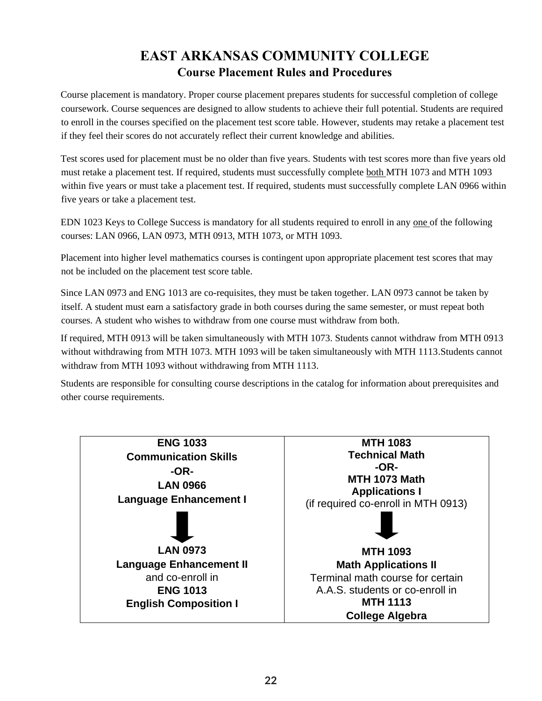### **EAST ARKANSAS COMMUNITY COLLEGE Course Placement Rules and Procedures**

Course placement is mandatory. Proper course placement prepares students for successful completion of college coursework. Course sequences are designed to allow students to achieve their full potential. Students are required to enroll in the courses specified on the placement test score table. However, students may retake a placement test if they feel their scores do not accurately reflect their current knowledge and abilities.

Test scores used for placement must be no older than five years. Students with test scores more than five years old must retake a placement test. If required, students must successfully complete both MTH 1073 and MTH 1093 within five years or must take a placement test. If required, students must successfully complete LAN 0966 within five years or take a placement test.

EDN 1023 Keys to College Success is mandatory for all students required to enroll in any one of the following courses: LAN 0966, LAN 0973, MTH 0913, MTH 1073, or MTH 1093.

Placement into higher level mathematics courses is contingent upon appropriate placement test scores that may not be included on the placement test score table.

Since LAN 0973 and ENG 1013 are co-requisites, they must be taken together. LAN 0973 cannot be taken by itself. A student must earn a satisfactory grade in both courses during the same semester, or must repeat both courses. A student who wishes to withdraw from one course must withdraw from both.

If required, MTH 0913 will be taken simultaneously with MTH 1073. Students cannot withdraw from MTH 0913 without withdrawing from MTH 1073. MTH 1093 will be taken simultaneously with MTH 1113.Students cannot withdraw from MTH 1093 without withdrawing from MTH 1113.

Students are responsible for consulting course descriptions in the catalog for information about prerequisites and other course requirements.

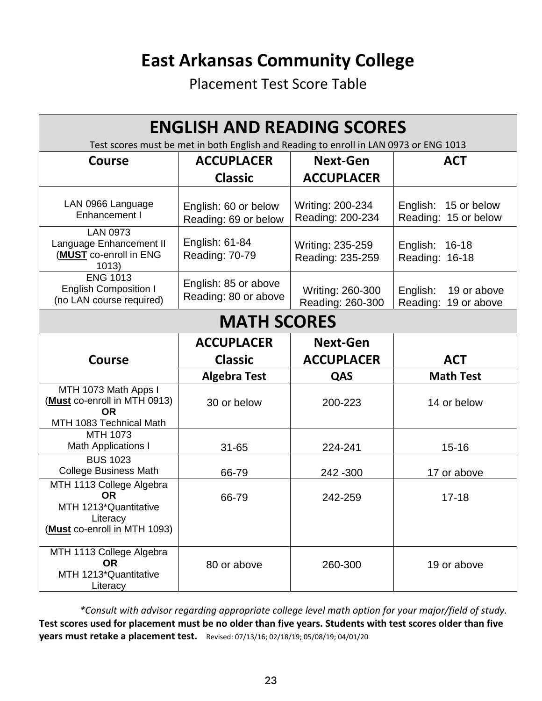## **East Arkansas Community College**

Placement Test Score Table

| <b>ENGLISH AND READING SCORES</b>                                                                          |                                              |                                      |                                                    |
|------------------------------------------------------------------------------------------------------------|----------------------------------------------|--------------------------------------|----------------------------------------------------|
| Test scores must be met in both English and Reading to enroll in LAN 0973 or ENG 1013                      |                                              |                                      |                                                    |
| <b>Course</b>                                                                                              | <b>ACCUPLACER</b>                            | <b>Next-Gen</b>                      | <b>ACT</b>                                         |
|                                                                                                            | <b>Classic</b>                               | <b>ACCUPLACER</b>                    |                                                    |
| LAN 0966 Language<br>Enhancement I                                                                         | English: 60 or below<br>Reading: 69 or below | Writing: 200-234<br>Reading: 200-234 | English:<br>15 or below<br>Reading: 15 or below    |
| <b>LAN 0973</b><br>Language Enhancement II<br>(MUST co-enroll in ENG<br>1013)                              | English: 61-84<br>Reading: 70-79             | Writing: 235-259<br>Reading: 235-259 | English:<br>16-18<br>Reading: 16-18                |
| <b>ENG 1013</b><br><b>English Composition I</b><br>(no LAN course required)                                | English: 85 or above<br>Reading: 80 or above | Writing: 260-300<br>Reading: 260-300 | English:<br>19 or above<br>Reading:<br>19 or above |
| <b>MATH SCORES</b>                                                                                         |                                              |                                      |                                                    |
|                                                                                                            | <b>ACCUPLACER</b>                            | <b>Next-Gen</b>                      |                                                    |
| <b>Course</b>                                                                                              | <b>Classic</b>                               | <b>ACCUPLACER</b>                    | <b>ACT</b>                                         |
|                                                                                                            | <b>Algebra Test</b>                          | QAS                                  | <b>Math Test</b>                                   |
| MTH 1073 Math Apps I<br>(Must co-enroll in MTH 0913)<br><b>OR</b><br>MTH 1083 Technical Math               | 30 or below                                  | 200-223                              | 14 or below                                        |
| MTH 1073<br><b>Math Applications I</b>                                                                     | $31 - 65$                                    | 224-241                              | $15 - 16$                                          |
| <b>BUS 1023</b><br><b>College Business Math</b>                                                            | 66-79                                        | 242 - 300                            | 17 or above                                        |
| MTH 1113 College Algebra<br><b>OR</b><br>MTH 1213*Quantitative<br>Literacy<br>(Must co-enroll in MTH 1093) | 66-79                                        | 242-259                              | $17 - 18$                                          |
| MTH 1113 College Algebra<br><b>OR</b><br>MTH 1213*Quantitative<br>Literacy                                 | 80 or above                                  | 260-300                              | 19 or above                                        |

 *\*Consult with advisor regarding appropriate college level math option for your major/field of study.* **Test scores used for placement must be no older than five years. Students with test scores older than five years must retake a placement test.** Revised: 07/13/16; 02/18/19; 05/08/19; 04/01/20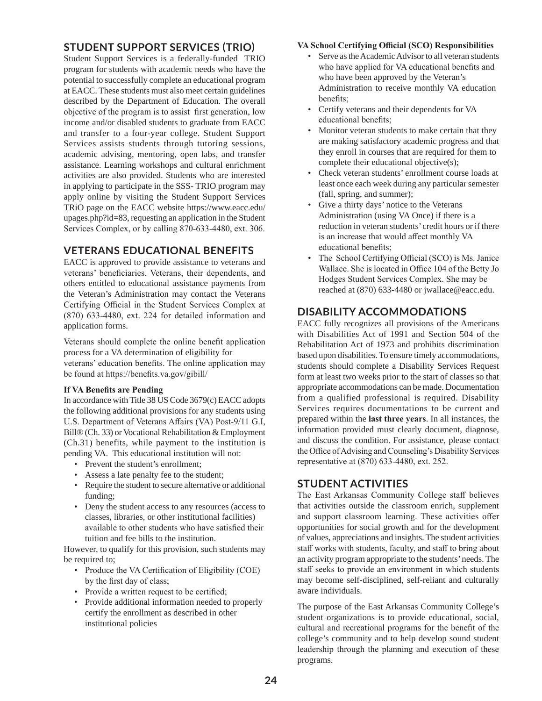#### **STUDENT SUPPORT SERVICES (TRIO)**

Student Support Services is a federally-funded TRIO program for students with academic needs who have the potential to successfully complete an educational program at EACC. These students must also meet certain guidelines described by the Department of Education. The overall objective of the program is to assist first generation, low income and/or disabled students to graduate from EACC and transfer to a four-year college. Student Support Services assists students through tutoring sessions, academic advising, mentoring, open labs, and transfer assistance. Learning workshops and cultural enrichment activities are also provided. Students who are interested in applying to participate in the SSS- TRIO program may apply online by visiting the Student Support Services TRiO page on the EACC website https://www.eacc.edu/ upages.php?id=83, requesting an application in the Student Services Complex, or by calling 870-633-4480, ext. 306.

#### **VETERANS EDUCATIONAL BENEFITS**

EACC is approved to provide assistance to veterans and veterans' beneficiaries. Veterans, their dependents, and others entitled to educational assistance payments from the Veteran's Administration may contact the Veterans Certifying Official in the Student Services Complex at (870) 633-4480, ext. 224 for detailed information and application forms.

Veterans should complete the online benefit application process for a VA determination of eligibility for veterans' education benefits. The online application may be found at https://benefits.va.gov/gibill/

#### **If VA Benefits are Pending**

In accordance with Title 38 US Code 3679(c) EACC adopts the following additional provisions for any students using U.S. Department of Veterans Affairs (VA) Post-9/11 G.I, Bill® (Ch. 33) or Vocational Rehabilitation & Employment (Ch.31) benefits, while payment to the institution is pending VA. This educational institution will not:

- Prevent the student's enrollment;
- Assess a late penalty fee to the student;
- Require the student to secure alternative or additional funding;
- Deny the student access to any resources (access to classes, libraries, or other institutional facilities) available to other students who have satisfied their tuition and fee bills to the institution.

However, to qualify for this provision, such students may be required to;

- Produce the VA Certification of Eligibility (COE) by the first day of class;
- Provide a written request to be certified;
- Provide additional information needed to properly certify the enrollment as described in other institutional policies

#### **VA School Certifying Official (SCO) Responsibilities**

- Serve as the Academic Advisor to all veteran students who have applied for VA educational benefits and who have been approved by the Veteran's Administration to receive monthly VA education benefits;
- Certify veterans and their dependents for VA educational benefits;
- Monitor veteran students to make certain that they are making satisfactory academic progress and that they enroll in courses that are required for them to complete their educational objective(s);
- Check veteran students' enrollment course loads at least once each week during any particular semester (fall, spring, and summer);
- Give a thirty days' notice to the Veterans Administration (using VA Once) if there is a reduction in veteran students' credit hours or if there is an increase that would affect monthly VA educational benefits;
- The School Certifying Official (SCO) is Ms. Janice Wallace. She is located in Office 104 of the Betty Jo Hodges Student Services Complex. She may be reached at (870) 633-4480 or jwallace@eacc.edu.

#### **DISABILITY ACCOMMODATIONS**

EACC fully recognizes all provisions of the Americans with Disabilities Act of 1991 and Section 504 of the Rehabilitation Act of 1973 and prohibits discrimination based upon disabilities. To ensure timely accommodations, students should complete a Disability Services Request form at least two weeks prior to the start of classes so that appropriate accommodations can be made. Documentation from a qualified professional is required. Disability Services requires documentations to be current and prepared within the **last three years**. In all instances, the information provided must clearly document, diagnose, and discuss the condition. For assistance, please contact the Office of Advising and Counseling's Disability Services representative at (870) 633-4480, ext. 252.

#### **STUDENT ACTIVITIES**

The East Arkansas Community College staff believes that activities outside the classroom enrich, supplement and support classroom learning. These activities offer opportunities for social growth and for the development of values, appreciations and insights. The student activities staff works with students, faculty, and staff to bring about an activity program appropriate to the students' needs. The staff seeks to provide an environment in which students may become self-disciplined, self-reliant and culturally aware individuals.

The purpose of the East Arkansas Community College's student organizations is to provide educational, social, cultural and recreational programs for the benefit of the college's community and to help develop sound student leadership through the planning and execution of these programs.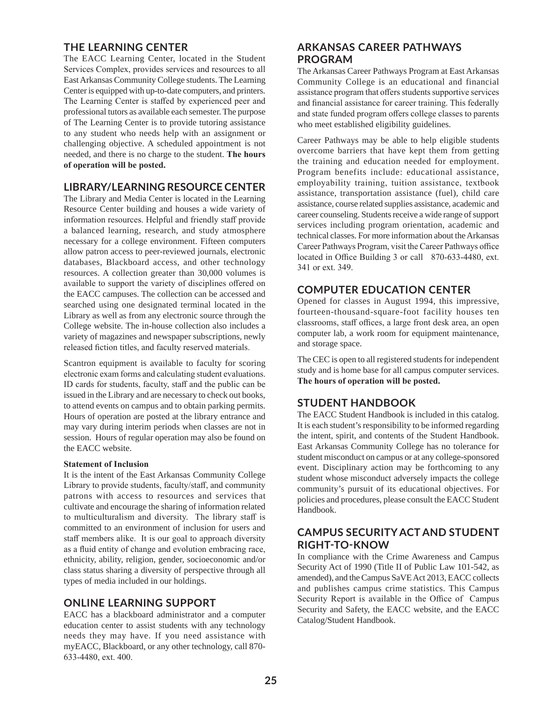#### **THE LEARNING CENTER**

The EACC Learning Center, located in the Student Services Complex, provides services and resources to all East Arkansas Community College students. The Learning Center is equipped with up-to-date computers, and printers. The Learning Center is staffed by experienced peer and professional tutors as available each semester. The purpose of The Learning Center is to provide tutoring assistance to any student who needs help with an assignment or challenging objective. A scheduled appointment is not needed, and there is no charge to the student. **The hours of operation will be posted.**

#### **LIBRARY/LEARNING RESOURCE CENTER**

The Library and Media Center is located in the Learning Resource Center building and houses a wide variety of information resources. Helpful and friendly staff provide a balanced learning, research, and study atmosphere necessary for a college environment. Fifteen computers allow patron access to peer-reviewed journals, electronic databases, Blackboard access, and other technology resources. A collection greater than 30,000 volumes is available to support the variety of disciplines offered on the EACC campuses. The collection can be accessed and searched using one designated terminal located in the Library as well as from any electronic source through the College website. The in-house collection also includes a variety of magazines and newspaper subscriptions, newly released fiction titles, and faculty reserved materials.

Scantron equipment is available to faculty for scoring electronic exam forms and calculating student evaluations. ID cards for students, faculty, staff and the public can be issued in the Library and are necessary to check out books, to attend events on campus and to obtain parking permits. Hours of operation are posted at the library entrance and may vary during interim periods when classes are not in session. Hours of regular operation may also be found on the EACC website.

#### **Statement of Inclusion**

It is the intent of the East Arkansas Community College Library to provide students, faculty/staff, and community patrons with access to resources and services that cultivate and encourage the sharing of information related to multiculturalism and diversity. The library staff is committed to an environment of inclusion for users and staff members alike. It is our goal to approach diversity as a fluid entity of change and evolution embracing race, ethnicity, ability, religion, gender, socioeconomic and/or class status sharing a diversity of perspective through all types of media included in our holdings.

#### **ONLINE LEARNING SUPPORT**

EACC has a blackboard administrator and a computer education center to assist students with any technology needs they may have. If you need assistance with myEACC, Blackboard, or any other technology, call 870- 633-4480, ext. 400.

#### **ARKANSAS CAREER PATHWAYS PROGRAM**

The Arkansas Career Pathways Program at East Arkansas Community College is an educational and financial assistance program that offers students supportive services and financial assistance for career training. This federally and state funded program offers college classes to parents who meet established eligibility guidelines.

Career Pathways may be able to help eligible students overcome barriers that have kept them from getting the training and education needed for employment. Program benefits include: educational assistance, employability training, tuition assistance, textbook assistance, transportation assistance (fuel), child care assistance, course related supplies assistance, academic and career counseling. Students receive a wide range of support services including program orientation, academic and technical classes. For more information about the Arkansas Career Pathways Program, visit the Career Pathways office located in Office Building 3 or call 870-633-4480, ext. 341 or ext. 349.

#### **COMPUTER EDUCATION CENTER**

Opened for classes in August 1994, this impressive, fourteen-thousand-square-foot facility houses ten classrooms, staff offices, a large front desk area, an open computer lab, a work room for equipment maintenance, and storage space.

The CEC is open to all registered students for independent study and is home base for all campus computer services. **The hours of operation will be posted.**

#### **STUDENT HANDBOOK**

The EACC Student Handbook is included in this catalog. It is each student's responsibility to be informed regarding the intent, spirit, and contents of the Student Handbook. East Arkansas Community College has no tolerance for student misconduct on campus or at any college-sponsored event. Disciplinary action may be forthcoming to any student whose misconduct adversely impacts the college community's pursuit of its educational objectives. For policies and procedures, please consult the EACC Student Handbook.

#### **CAMPUS SECURITY ACT AND STUDENT RIGHT-TO-KNOW**

In compliance with the Crime Awareness and Campus Security Act of 1990 (Title II of Public Law 101-542, as amended), and the Campus SaVE Act 2013, EACC collects and publishes campus crime statistics. This Campus Security Report is available in the Office of Campus Security and Safety, the EACC website, and the EACC Catalog/Student Handbook.